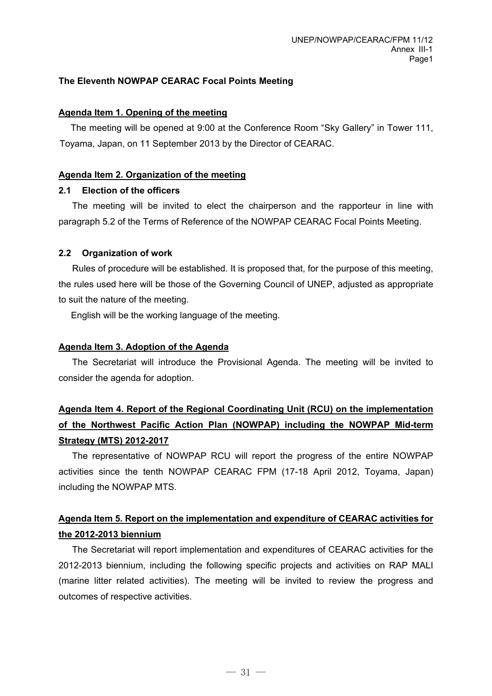#### **The Eleventh NOWPAP CEARAC Focal Points Meeting**

#### **Agenda Item 1. Opening of the meeting**

The meeting will be opened at 9:00 at the Conference Room "Sky Gallery" in Tower 111, Toyama, Japan, on 11 September 2013 by the Director of CEARAC.

#### **Agenda Item 2. Organization of the meeting**

#### **2.1 Election of the officers**

The meeting will be invited to elect the chairperson and the rapporteur in line with paragraph 5.2 of the Terms of Reference of the NOWPAP CEARAC Focal Points Meeting.

### **2.2 Organization of work**

Rules of procedure will be established. It is proposed that, for the purpose of this meeting, the rules used here will be those of the Governing Council of UNEP, adjusted as appropriate to suit the nature of the meeting.

English will be the working language of the meeting.

#### **Agenda Item 3. Adoption of the Agenda**

The Secretariat will introduce the Provisional Agenda. The meeting will be invited to consider the agenda for adoption.

## **Agenda Item 4. Report of the Regional Coordinating Unit (RCU) on the implementation of the Northwest Pacific Action Plan (NOWPAP) including the NOWPAP Mid-term Strategy (MTS) 2012-2017**

The representative of NOWPAP RCU will report the progress of the entire NOWPAP activities since the tenth NOWPAP CEARAC FPM (17-18 April 2012, Toyama, Japan) including the NOWPAP MTS.

### **Agenda Item 5. Report on the implementation and expenditure of CEARAC activities for the 2012-2013 biennium**

The Secretariat will report implementation and expenditures of CEARAC activities for the 2012-2013 biennium, including the following specific projects and activities on RAP MALI (marine litter related activities). The meeting will be invited to review the progress and outcomes of respective activities.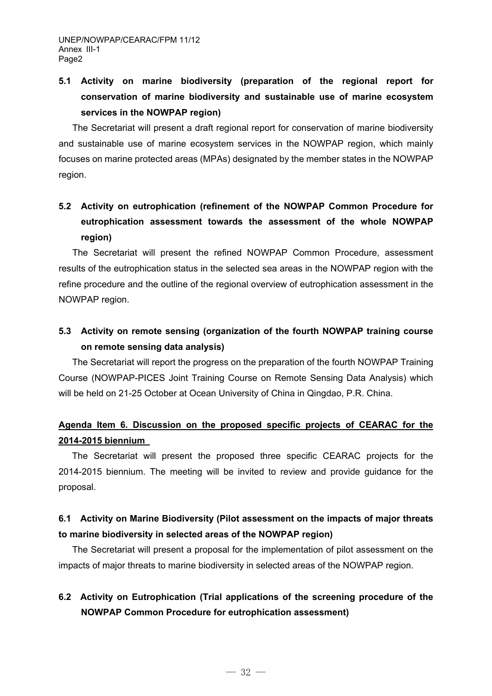# **5.1 Activity on marine biodiversity (preparation of the regional report for conservation of marine biodiversity and sustainable use of marine ecosystem services in the NOWPAP region)**

The Secretariat will present a draft regional report for conservation of marine biodiversity and sustainable use of marine ecosystem services in the NOWPAP region, which mainly focuses on marine protected areas (MPAs) designated by the member states in the NOWPAP region.

## **5.2 Activity on eutrophication (refinement of the NOWPAP Common Procedure for eutrophication assessment towards the assessment of the whole NOWPAP region)**

The Secretariat will present the refined NOWPAP Common Procedure, assessment results of the eutrophication status in the selected sea areas in the NOWPAP region with the refine procedure and the outline of the regional overview of eutrophication assessment in the NOWPAP region.

## **5.3 Activity on remote sensing (organization of the fourth NOWPAP training course on remote sensing data analysis)**

 The Secretariat will report the progress on the preparation of the fourth NOWPAP Training Course (NOWPAP-PICES Joint Training Course on Remote Sensing Data Analysis) which will be held on 21-25 October at Ocean University of China in Qingdao, P.R. China.

## **Agenda Item 6. Discussion on the proposed specific projects of CEARAC for the 2014-2015 biennium**

The Secretariat will present the proposed three specific CEARAC projects for the 2014-2015 biennium. The meeting will be invited to review and provide guidance for the proposal.

### **6.1 Activity on Marine Biodiversity (Pilot assessment on the impacts of major threats to marine biodiversity in selected areas of the NOWPAP region)**

The Secretariat will present a proposal for the implementation of pilot assessment on the impacts of major threats to marine biodiversity in selected areas of the NOWPAP region.

## **6.2 Activity on Eutrophication (Trial applications of the screening procedure of the NOWPAP Common Procedure for eutrophication assessment)**